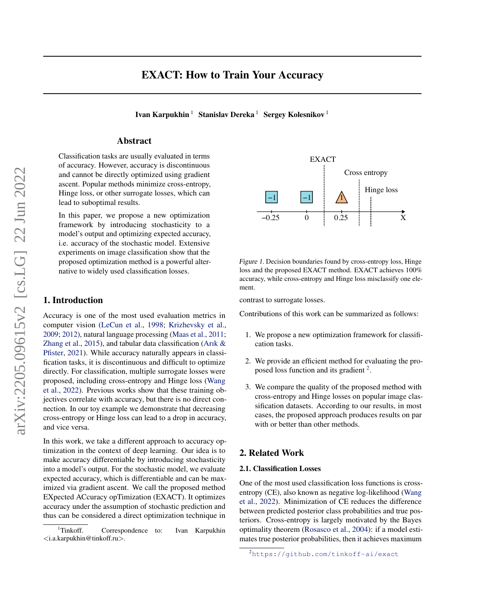# EXACT: How to Train Your Accuracy

Ivan Karpukhin <sup>1</sup> Stanislav Dereka <sup>1</sup> Sergey Kolesnikov <sup>1</sup>

## Abstract

Classification tasks are usually evaluated in terms of accuracy. However, accuracy is discontinuous and cannot be directly optimized using gradient ascent. Popular methods minimize cross-entropy, Hinge loss, or other surrogate losses, which can lead to suboptimal results.

In this paper, we propose a new optimization framework by introducing stochasticity to a model's output and optimizing expected accuracy, i.e. accuracy of the stochastic model. Extensive experiments on image classification show that the proposed optimization method is a powerful alternative to widely used classification losses.

# 1. Introduction

Accuracy is one of the most used evaluation metrics in computer vision [\(LeCun et al.,](#page-6-0) [1998;](#page-6-0) [Krizhevsky et al.,](#page-6-1) [2009;](#page-6-1) [2012\)](#page-6-2), natural language processing [\(Maas et al.,](#page-6-3) [2011;](#page-6-3) [Zhang et al.,](#page-7-0) [2015\)](#page-7-0), and tabular data classification [\(Arık &](#page-5-0) [Pfister,](#page-5-0) [2021\)](#page-5-0). While accuracy naturally appears in classification tasks, it is discontinuous and difficult to optimize directly. For classification, multiple surrogate losses were proposed, including cross-entropy and Hinge loss [\(Wang](#page-7-1) [et al.,](#page-7-1) [2022\)](#page-7-1). Previous works show that these training objectives correlate with accuracy, but there is no direct connection. In our toy example we demonstrate that decreasing cross-entropy or Hinge loss can lead to a drop in accuracy, and vice versa.

In this work, we take a different approach to accuracy optimization in the context of deep learning. Our idea is to make accuracy differentiable by introducing stochasticity into a model's output. For the stochastic model, we evaluate expected accuracy, which is differentiable and can be maximized via gradient ascent. We call the proposed method EXpected ACcuracy opTimization (EXACT). It optimizes accuracy under the assumption of stochastic prediction and thus can be considered a direct optimization technique in



<span id="page-0-1"></span>Figure 1. Decision boundaries found by cross-entropy loss, Hinge loss and the proposed EXACT method. EXACT achieves 100% accuracy, while cross-entropy and Hinge loss misclassify one element.

contrast to surrogate losses.

Contributions of this work can be summarized as follows:

- 1. We propose a new optimization framework for classification tasks.
- 2. We provide an efficient method for evaluating the pro-posed loss function and its gradient<sup>[2](#page-0-0)</sup>.
- 3. We compare the quality of the proposed method with cross-entropy and Hinge losses on popular image classification datasets. According to our results, in most cases, the proposed approach produces results on par with or better than other methods.

## 2. Related Work

### 2.1. Classification Losses

One of the most used classification loss functions is crossentropy (CE), also known as negative log-likelihood [\(Wang](#page-7-1) [et al.,](#page-7-1) [2022\)](#page-7-1). Minimization of CE reduces the difference between predicted posterior class probabilities and true posteriors. Cross-entropy is largely motivated by the Bayes optimality theorem [\(Rosasco et al.,](#page-7-2) [2004\)](#page-7-2): if a model estimates true posterior probabilities, then it achieves maximum

<sup>&</sup>lt;sup>1</sup>Tinkoff. Correspondence to: Ivan Karpukhin <i.a.karpukhin@tinkoff.ru>.

<span id="page-0-0"></span><sup>2</sup><https://github.com/tinkoff-ai/exact>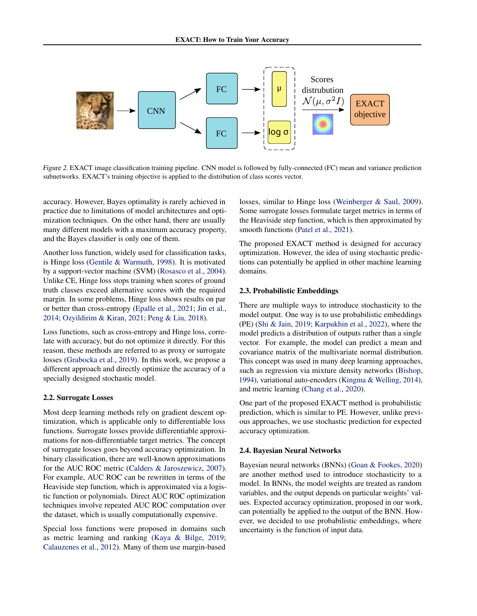

Figure 2. EXACT image classification training pipeline. CNN model is followed by fully-connected (FC) mean and variance prediction subnetworks. EXACT's training objective is applied to the distribution of class scores vector.

accuracy. However, Bayes optimality is rarely achieved in practice due to limitations of model architectures and optimization techniques. On the other hand, there are usually many different models with a maximum accuracy property, and the Bayes classifier is only one of them.

Another loss function, widely used for classification tasks, is Hinge loss [\(Gentile & Warmuth,](#page-6-4) [1998\)](#page-6-4). It is motivated by a support-vector machine (SVM) [\(Rosasco et al.,](#page-7-2) [2004\)](#page-7-2). Unlike CE, Hinge loss stops training when scores of ground truth classes exceed alternative scores with the required margin. In some problems, Hinge loss shows results on par or better than cross-entropy [\(Epalle et al.,](#page-6-5) [2021;](#page-6-5) [Jin et al.,](#page-6-6) [2014;](#page-6-6) [Ozyildirim & Kiran,](#page-6-7) [2021;](#page-6-7) [Peng & Liu,](#page-7-3) [2018\)](#page-7-3).

Loss functions, such as cross-entropy and Hinge loss, correlate with accuracy, but do not optimize it directly. For this reason, these methods are referred to as proxy or surrogate losses [\(Grabocka et al.,](#page-6-8) [2019\)](#page-6-8). In this work, we propose a different approach and directly optimize the accuracy of a specially designed stochastic model.

#### 2.2. Surrogate Losses

Most deep learning methods rely on gradient descent optimization, which is applicable only to differentiable loss functions. Surrogate losses provide differentiable approximations for non-differentiable target metrics. The concept of surrogate losses goes beyond accuracy optimization. In binary classification, there are well-known approximations for the AUC ROC metric [\(Calders & Jaroszewicz,](#page-6-9) [2007\)](#page-6-9). For example, AUC ROC can be rewritten in terms of the Heaviside step function, which is approximated via a logistic function or polynomials. Direct AUC ROC optimization techniques involve repeated AUC ROC computation over the dataset, which is usually computationally expensive.

Special loss functions were proposed in domains such as metric learning and ranking [\(Kaya & Bilge,](#page-6-10) [2019;](#page-6-10) [Calauzenes et al.,](#page-6-11) [2012\)](#page-6-11). Many of them use margin-based

losses, similar to Hinge loss [\(Weinberger & Saul,](#page-7-4) [2009\)](#page-7-4). Some surrogate losses formulate target metrics in terms of the Heaviside step function, which is then approximated by smooth functions [\(Patel et al.,](#page-7-5) [2021\)](#page-7-5).

The proposed EXACT method is designed for accuracy optimization. However, the idea of using stochastic predictions can potentially be applied in other machine learning domains.

#### 2.3. Probabilistic Embeddings

There are multiple ways to introduce stochasticity to the model output. One way is to use probabilistic embeddings (PE) [\(Shi & Jain,](#page-7-6) [2019;](#page-7-6) [Karpukhin et al.,](#page-6-12) [2022\)](#page-6-12), where the model predicts a distribution of outputs rather than a single vector. For example, the model can predict a mean and covariance matrix of the multivariate normal distribution. This concept was used in many deep learning approaches, such as regression via mixture density networks [\(Bishop,](#page-6-13) [1994\)](#page-6-13), variational auto-encoders [\(Kingma & Welling,](#page-6-14) [2014\)](#page-6-14), and metric learning [\(Chang et al.,](#page-6-15) [2020\)](#page-6-15).

One part of the proposed EXACT method is probabilistic prediction, which is similar to PE. However, unlike previous approaches, we use stochastic prediction for expected accuracy optimization.

#### 2.4. Bayesian Neural Networks

Bayesian neural networks (BNNs) [\(Goan & Fookes,](#page-6-16) [2020\)](#page-6-16) are another method used to introduce stochasticity to a model. In BNNs, the model weights are treated as random variables, and the output depends on particular weights' values. Expected accuracy optimization, proposed in our work, can potentially be applied to the output of the BNN. However, we decided to use probabilistic embeddings, where uncertainty is the function of input data.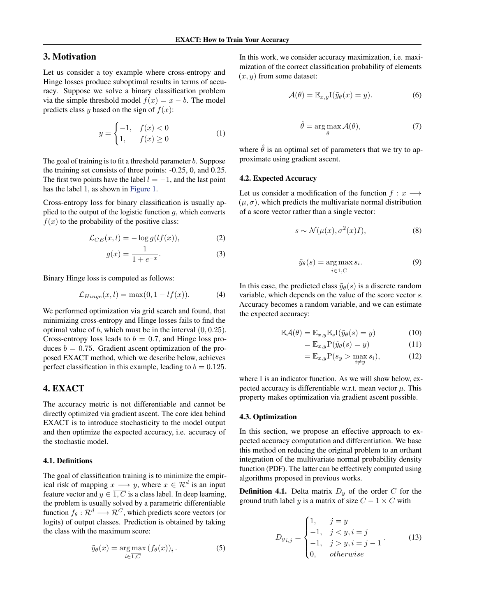# 3. Motivation

Let us consider a toy example where cross-entropy and Hinge losses produce suboptimal results in terms of accuracy. Suppose we solve a binary classification problem via the simple threshold model  $f(x) = x - b$ . The model predicts class y based on the sign of  $f(x)$ :

$$
y = \begin{cases} -1, & f(x) < 0 \\ 1, & f(x) \ge 0 \end{cases}
$$
 (1)

The goal of training is to fit a threshold parameter  $b$ . Suppose the training set consists of three points: -0.25, 0, and 0.25. The first two points have the label  $l = -1$ , and the last point has the label 1, as shown in [Figure 1.](#page-0-1)

Cross-entropy loss for binary classification is usually applied to the output of the logistic function  $g$ , which converts  $f(x)$  to the probability of the positive class:

$$
\mathcal{L}_{CE}(x,l) = -\log g(lf(x)),\tag{2}
$$

$$
g(x) = \frac{1}{1 + e^{-x}}.\t(3)
$$

Binary Hinge loss is computed as follows:

$$
\mathcal{L}_{Hinge}(x,l) = \max(0, 1 - lf(x)).\tag{4}
$$

We performed optimization via grid search and found, that minimizing cross-entropy and Hinge losses fails to find the optimal value of  $b$ , which must be in the interval  $(0, 0.25)$ . Cross-entropy loss leads to  $b = 0.7$ , and Hinge loss produces  $b = 0.75$ . Gradient ascent optimization of the proposed EXACT method, which we describe below, achieves perfect classification in this example, leading to  $b = 0.125$ .

### 4. EXACT

The accuracy metric is not differentiable and cannot be directly optimized via gradient ascent. The core idea behind EXACT is to introduce stochasticity to the model output and then optimize the expected accuracy, i.e. accuracy of the stochastic model.

### 4.1. Definitions

The goal of classification training is to minimize the empirical risk of mapping  $x \longrightarrow y$ , where  $x \in \mathcal{R}^d$  is an input feature vector and  $y \in \overline{1, C}$  is a class label. In deep learning, the problem is usually solved by a parametric differentiable function  $f_{\theta} : \mathcal{R}^d \longrightarrow \mathcal{R}^C$ , which predicts score vectors (or logits) of output classes. Prediction is obtained by taking the class with the maximum score:

$$
\tilde{y}_{\theta}(x) = \underset{i \in \overline{1, C}}{\arg \max} (f_{\theta}(x))_i.
$$
 (5)

In this work, we consider accuracy maximization, i.e. maximization of the correct classification probability of elements  $(x, y)$  from some dataset:

$$
\mathcal{A}(\theta) = \mathbb{E}_{x,y} \mathcal{I}(\tilde{y}_{\theta}(x) = y). \tag{6}
$$

$$
\hat{\theta} = \underset{\theta}{\arg\max} \mathcal{A}(\theta),\tag{7}
$$

where  $\hat{\theta}$  is an optimal set of parameters that we try to approximate using gradient ascent.

#### 4.2. Expected Accuracy

Let us consider a modification of the function  $f : x \longrightarrow$  $(\mu, \sigma)$ , which predicts the multivariate normal distribution of a score vector rather than a single vector:

$$
s \sim \mathcal{N}(\mu(x), \sigma^2(x)I), \tag{8}
$$

$$
\tilde{y}_{\theta}(s) = \underset{i \in \overline{1, C}}{\arg \max} s_i.
$$
\n(9)

In this case, the predicted class  $\tilde{y}_{\theta}(s)$  is a discrete random variable, which depends on the value of the score vector s. Accuracy becomes a random variable, and we can estimate the expected accuracy:

$$
\mathbb{E}\mathcal{A}(\theta) = \mathbb{E}_{x,y}\mathbb{E}_s\mathcal{I}(\tilde{y}_\theta(s) = y)
$$
 (10)

$$
= \mathbb{E}_{x,y} P(\tilde{y}_{\theta}(s) = y)
$$
 (11)

<span id="page-2-0"></span>
$$
= \mathbb{E}_{x,y} P(s_y > \max_{i \neq y} s_i), \tag{12}
$$

where I is an indicator function. As we will show below, expected accuracy is differentiable w.r.t. mean vector  $\mu$ . This property makes optimization via gradient ascent possible.

#### 4.3. Optimization

In this section, we propose an effective approach to expected accuracy computation and differentiation. We base this method on reducing the original problem to an orthant integration of the multivariate normal probability density function (PDF). The latter can be effectively computed using algorithms proposed in previous works.

**Definition 4.1.** Delta matrix  $D_y$  of the order C for the ground truth label y is a matrix of size  $C - 1 \times C$  with

$$
D_{y_{i,j}} = \begin{cases} 1, & j = y \\ -1, & j < y, i = j \\ -1, & j > y, i = j - 1 \\ 0, & otherwise \end{cases}
$$
(13)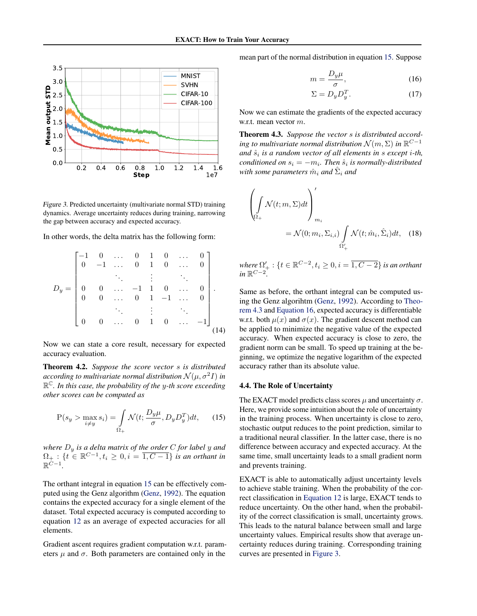

<span id="page-3-3"></span>Figure 3. Predicted uncertainty (multivariate normal STD) training dynamics. Average uncertainty reduces during training, narrowing the gap between accuracy and expected accuracy.

In other words, the delta matrix has the following form:

$$
D_{y} = \begin{bmatrix} -1 & 0 & \dots & 0 & 1 & 0 & \dots & 0 \\ 0 & -1 & \dots & 0 & 1 & 0 & \dots & 0 \\ & & \ddots & & \vdots & & \ddots & \\ 0 & 0 & \dots & -1 & 1 & 0 & \dots & 0 \\ 0 & 0 & \dots & 0 & 1 & -1 & \dots & 0 \\ & & & \ddots & & \vdots & & \ddots & \\ 0 & 0 & \dots & 0 & 1 & 0 & \dots & -1 \end{bmatrix}
$$
(14)

Now we can state a core result, necessary for expected accuracy evaluation.

Theorem 4.2. *Suppose the score vector* s *is distributed* according to multivariate normal distribution  $\mathcal{N}(\mu, \sigma^2 I)$  in R <sup>C</sup>*. In this case, the probability of the* y*-th score exceeding other scores can be computed as*

<span id="page-3-0"></span>
$$
P(s_y > \max_{i \neq y} s_i) = \int_{\Omega_+} \mathcal{N}(t; \frac{D_y \mu}{\sigma}, D_y D_y^T) dt, \qquad (15)
$$

*where* D<sup>y</sup> *is a delta matrix of the order* C *for label* y *and*  $\Omega_+$ : { $t \in \mathbb{R}^{C-1}, t_i \geq 0, i = \overline{1, C-1}$ } *is an orthant in*  $\mathbb{R}^{\dot{C}-1}$ .

The orthant integral in equation [15](#page-3-0) can be effectively computed using the Genz algorithm [\(Genz,](#page-6-17) [1992\)](#page-6-17). The equation contains the expected accuracy for a single element of the dataset. Total expected accuracy is computed according to equation [12](#page-2-0) as an average of expected accuracies for all elements.

Gradient ascent requires gradient computation w.r.t. parameters  $\mu$  and  $\sigma$ . Both parameters are contained only in the

mean part of the normal distribution in equation [15.](#page-3-0) Suppose

<span id="page-3-2"></span>
$$
m = \frac{D_y \mu}{\sigma},\tag{16}
$$

$$
\Sigma = D_y D_y^T. \tag{17}
$$

Now we can estimate the gradients of the expected accuracy w.r.t. mean vector m.

<span id="page-3-1"></span>Theorem 4.3. *Suppose the vector* s *is distributed according to multivariate normal distribution*  $\mathcal{N}(m, \Sigma)$  *in*  $\mathbb{R}^{C-1}$ *and*  $\hat{s}_i$  *is a random vector of all elements in s except <i>i-th*, *conditioned on*  $s_i = -m_i$ . Then  $\hat{s}_i$  is normally-distributed  $w$ *ith some parameters*  $\hat{m}_i$  *and*  $\hat{\Sigma}_i$  *and* 

$$
\left(\int_{\Omega_{+}} \mathcal{N}(t; m, \Sigma) dt\right)'_{m_{i}}\n= \mathcal{N}(0; m_{i}, \Sigma_{i,i}) \int_{\Omega'_{+}} \mathcal{N}(t; \hat{m}_{i}, \hat{\Sigma}_{i}) dt, \quad (18)
$$

where 
$$
\Omega'_{+}
$$
:  $\{t \in \mathbb{R}^{C-2}, t_i \geq 0, i = \overline{1, C-2}\}$  is an orthant in  $\mathbb{R}^{C-2}$ .

Same as before, the orthant integral can be computed using the Genz algorihtm [\(Genz,](#page-6-17) [1992\)](#page-6-17). According to [Theo](#page-3-1)[rem 4.3](#page-3-1) and [Equation 16,](#page-3-2) expected accuracy is differentiable w.r.t. both  $\mu(x)$  and  $\sigma(x)$ . The gradient descent method can be applied to minimize the negative value of the expected accuracy. When expected accuracy is close to zero, the gradient norm can be small. To speed up training at the beginning, we optimize the negative logarithm of the expected accuracy rather than its absolute value.

#### 4.4. The Role of Uncertainty

The EXACT model predicts class scores  $\mu$  and uncertainty  $\sigma$ . Here, we provide some intuition about the role of uncertainty in the training process. When uncertainty is close to zero, stochastic output reduces to the point prediction, similar to a traditional neural classifier. In the latter case, there is no difference between accuracy and expected accuracy. At the same time, small uncertainty leads to a small gradient norm and prevents training.

EXACT is able to automatically adjust uncertainty levels to achieve stable training. When the probability of the correct classification in [Equation 12](#page-2-0) is large, EXACT tends to reduce uncertainty. On the other hand, when the probability of the correct classification is small, uncertainty grows. This leads to the natural balance between small and large uncertainty values. Empirical results show that average uncertainty reduces during training. Corresponding training curves are presented in [Figure 3.](#page-3-3)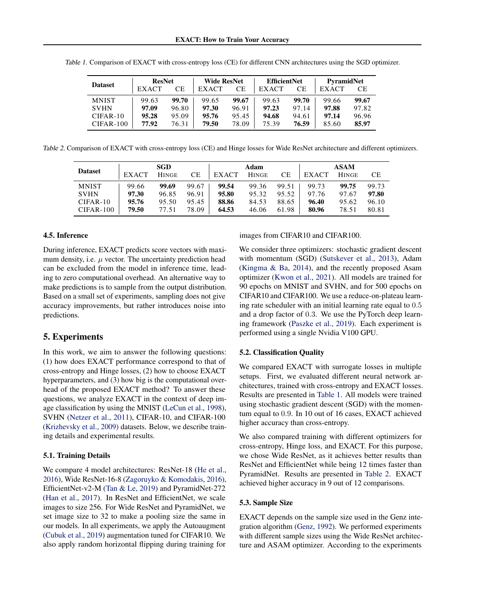| <b>Dataset</b> | <b>ResNet</b> |       | Wide ResNet  |       | <b>EfficientNet</b> |       | <b>PyramidNet</b> |       |
|----------------|---------------|-------|--------------|-------|---------------------|-------|-------------------|-------|
|                | <b>EXACT</b>  | СE    | <b>EXACT</b> | CЕ    | <b>EXACT</b>        | CЕ    | <b>EXACT</b>      | CЕ    |
| <b>MNIST</b>   | 99.63         | 99.70 | 99.65        | 99.67 | 99.63               | 99.70 | 99.66             | 99.67 |
| <b>SVHN</b>    | 97.09         | 96.80 | 97.30        | 96.91 | 97.23               | 97.14 | 97.88             | 97.82 |
| $CIFAR-10$     | 95.28         | 95.09 | 95.76        | 95.45 | 94.68               | 94.61 | 97.14             | 96.96 |
| $CIFAR-100$    | 77.92         | 76.31 | 79.50        | 78.09 | 75.39               | 76.59 | 85.60             | 85.97 |

<span id="page-4-0"></span>Table 1. Comparison of EXACT with cross-entropy loss (CE) for different CNN architectures using the SGD optimizer.

<span id="page-4-1"></span>Table 2. Comparison of EXACT with cross-entropy loss (CE) and Hinge losses for Wide ResNet architecture and different optimizers.

| <b>Dataset</b> | <b>SGD</b>   |              |       |              | Adam         |       | <b>ASAM</b>  |              |       |
|----------------|--------------|--------------|-------|--------------|--------------|-------|--------------|--------------|-------|
|                | <b>EXACT</b> | <b>HINGE</b> | CЕ    | <b>EXACT</b> | <b>HINGE</b> | CЕ    | <b>EXACT</b> | <b>HINGE</b> | CЕ    |
| <b>MNIST</b>   | 99.66        | 99.69        | 99.67 | 99.54        | 99.36        | 99.51 | 99.73        | 99.75        | 99.73 |
| <b>SVHN</b>    | 97.30        | 96.85        | 96.91 | 95.80        | 95.32        | 95.52 | 97.76        | 97.67        | 97.80 |
| $CIFAR-10$     | 95.76        | 95.50        | 95.45 | 88.86        | 84.53        | 88.65 | 96.40        | 95.62        | 96.10 |
| $CIFAR-100$    | 79.50        | 77.51        | 78.09 | 64.53        | 46.06        | 61.98 | 80.96        | 78.51        | 80.81 |

#### 4.5. Inference

During inference, EXACT predicts score vectors with maximum density, i.e.  $\mu$  vector. The uncertainty prediction head can be excluded from the model in inference time, leading to zero computational overhead. An alternative way to make predictions is to sample from the output distribution. Based on a small set of experiments, sampling does not give accuracy improvements, but rather introduces noise into predictions.

### 5. Experiments

In this work, we aim to answer the following questions: (1) how does EXACT performance correspond to that of cross-entropy and Hinge losses, (2) how to choose EXACT hyperparameters, and (3) how big is the computational overhead of the proposed EXACT method? To answer these questions, we analyze EXACT in the context of deep image classification by using the MNIST [\(LeCun et al.,](#page-6-0) [1998\)](#page-6-0), SVHN [\(Netzer et al.,](#page-6-18) [2011\)](#page-6-18), CIFAR-10, and CIFAR-100 [\(Krizhevsky et al.,](#page-6-1) [2009\)](#page-6-1) datasets. Below, we describe training details and experimental results.

#### 5.1. Training Details

We compare 4 model architectures: ResNet-18 [\(He et al.,](#page-6-19) [2016\)](#page-6-19), Wide ResNet-16-8 [\(Zagoruyko & Komodakis,](#page-7-7) [2016\)](#page-7-7), EfficientNet-v2-M [\(Tan & Le,](#page-7-8) [2019\)](#page-7-8) and PyramidNet-272 [\(Han et al.,](#page-6-20) [2017\)](#page-6-20). In ResNet and EfficientNet, we scale images to size 256. For Wide ResNet and PyramidNet, we set image size to 32 to make a pooling size the same in our models. In all experiments, we apply the Autoaugment [\(Cubuk et al.,](#page-6-21) [2019\)](#page-6-21) augmentation tuned for CIFAR10. We also apply random horizontal flipping during training for images from CIFAR10 and CIFAR100.

We consider three optimizers: stochastic gradient descent with momentum (SGD) [\(Sutskever et al.,](#page-7-9) [2013\)](#page-7-9), Adam [\(Kingma & Ba,](#page-6-22) [2014\)](#page-6-22), and the recently proposed Asam optimizer [\(Kwon et al.,](#page-6-23) [2021\)](#page-6-23). All models are trained for 90 epochs on MNIST and SVHN, and for 500 epochs on CIFAR10 and CIFAR100. We use a reduce-on-plateau learning rate scheduler with an initial learning rate equal to 0.5 and a drop factor of 0.3. We use the PyTorch deep learning framework [\(Paszke et al.,](#page-6-24) [2019\)](#page-6-24). Each experiment is performed using a single Nvidia V100 GPU.

#### 5.2. Classification Quality

We compared EXACT with surrogate losses in multiple setups. First, we evaluated different neural network architectures, trained with cross-entropy and EXACT losses. Results are presented in [Table 1.](#page-4-0) All models were trained using stochastic gradient descent (SGD) with the momentum equal to 0.9. In 10 out of 16 cases, EXACT achieved higher accuracy than cross-entropy.

We also compared training with different optimizers for cross-entropy, Hinge loss, and EXACT. For this purpose, we chose Wide ResNet, as it achieves better results than ResNet and EfficientNet while being 12 times faster than PyramidNet. Results are presented in [Table 2.](#page-4-1) EXACT achieved higher accuracy in 9 out of 12 comparisons.

#### 5.3. Sample Size

EXACT depends on the sample size used in the Genz integration algorithm [\(Genz,](#page-6-17) [1992\)](#page-6-17). We performed experiments with different sample sizes using the Wide ResNet architecture and ASAM optimizer. According to the experiments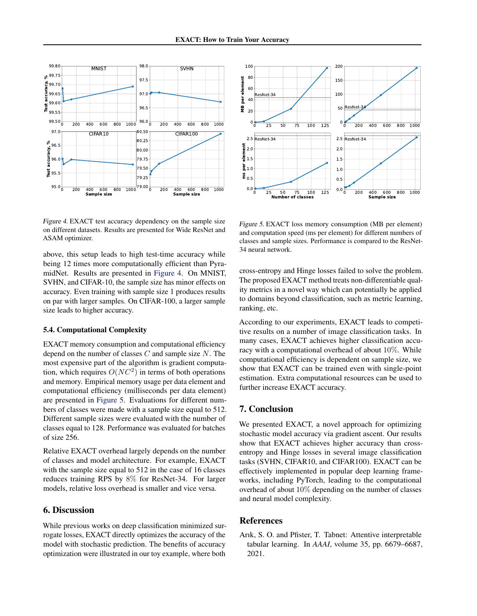

<span id="page-5-1"></span>Figure 4. EXACT test accuracy dependency on the sample size on different datasets. Results are presented for Wide ResNet and ASAM optimizer.

above, this setup leads to high test-time accuracy while being 12 times more computationally efficient than PyramidNet. Results are presented in [Figure 4.](#page-5-1) On MNIST, SVHN, and CIFAR-10, the sample size has minor effects on accuracy. Even training with sample size 1 produces results on par with larger samples. On CIFAR-100, a larger sample size leads to higher accuracy.

#### 5.4. Computational Complexity

EXACT memory consumption and computational efficiency depend on the number of classes  $C$  and sample size  $N$ . The most expensive part of the algorithm is gradient computation, which requires  $O(NC^2)$  in terms of both operations and memory. Empirical memory usage per data element and computational efficiency (milliseconds per data element) are presented in [Figure 5.](#page-5-2) Evaluations for different numbers of classes were made with a sample size equal to 512. Different sample sizes were evaluated with the number of classes equal to 128. Performance was evaluated for batches of size 256.

Relative EXACT overhead largely depends on the number of classes and model architecture. For example, EXACT with the sample size equal to 512 in the case of 16 classes reduces training RPS by 8% for ResNet-34. For larger models, relative loss overhead is smaller and vice versa.

# 6. Discussion

While previous works on deep classification minimized surrogate losses, EXACT directly optimizes the accuracy of the model with stochastic prediction. The benefits of accuracy optimization were illustrated in our toy example, where both



<span id="page-5-2"></span>Figure 5. EXACT loss memory consumption (MB per element) and computation speed (ms per element) for different numbers of classes and sample sizes. Performance is compared to the ResNet-34 neural network.

cross-entropy and Hinge losses failed to solve the problem. The proposed EXACT method treats non-differentiable quality metrics in a novel way which can potentially be applied to domains beyond classification, such as metric learning, ranking, etc.

According to our experiments, EXACT leads to competitive results on a number of image classification tasks. In many cases, EXACT achieves higher classification accuracy with a computational overhead of about 10%. While computational efficiency is dependent on sample size, we show that EXACT can be trained even with single-point estimation. Extra computational resources can be used to further increase EXACT accuracy.

### 7. Conclusion

We presented EXACT, a novel approach for optimizing stochastic model accuracy via gradient ascent. Our results show that EXACT achieves higher accuracy than crossentropy and Hinge losses in several image classification tasks (SVHN, CIFAR10, and CIFAR100). EXACT can be effectively implemented in popular deep learning frameworks, including PyTorch, leading to the computational overhead of about 10% depending on the number of classes and neural model complexity.

### References

<span id="page-5-0"></span>Arık, S. O. and Pfister, T. Tabnet: Attentive interpretable tabular learning. In *AAAI*, volume 35, pp. 6679–6687, 2021.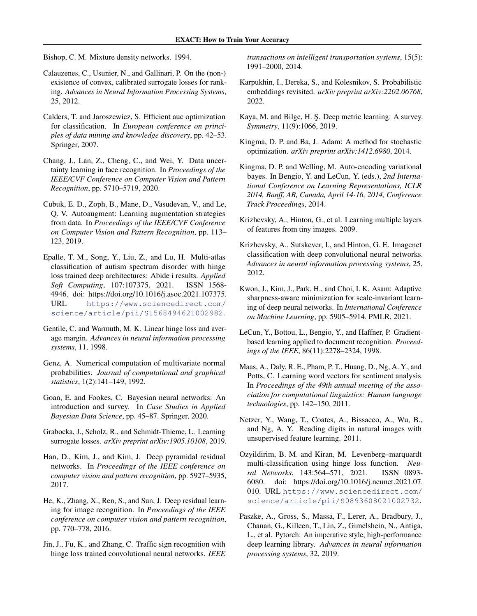<span id="page-6-13"></span>Bishop, C. M. Mixture density networks. 1994.

- <span id="page-6-11"></span>Calauzenes, C., Usunier, N., and Gallinari, P. On the (non-) existence of convex, calibrated surrogate losses for ranking. *Advances in Neural Information Processing Systems*, 25, 2012.
- <span id="page-6-9"></span>Calders, T. and Jaroszewicz, S. Efficient auc optimization for classification. In *European conference on principles of data mining and knowledge discovery*, pp. 42–53. Springer, 2007.
- <span id="page-6-15"></span>Chang, J., Lan, Z., Cheng, C., and Wei, Y. Data uncertainty learning in face recognition. In *Proceedings of the IEEE/CVF Conference on Computer Vision and Pattern Recognition*, pp. 5710–5719, 2020.
- <span id="page-6-21"></span>Cubuk, E. D., Zoph, B., Mane, D., Vasudevan, V., and Le, Q. V. Autoaugment: Learning augmentation strategies from data. In *Proceedings of the IEEE/CVF Conference on Computer Vision and Pattern Recognition*, pp. 113– 123, 2019.
- <span id="page-6-5"></span>Epalle, T. M., Song, Y., Liu, Z., and Lu, H. Multi-atlas classification of autism spectrum disorder with hinge loss trained deep architectures: Abide i results. *Applied Soft Computing*, 107:107375, 2021. ISSN 1568- 4946. doi: https://doi.org/10.1016/j.asoc.2021.107375. URL [https://www.sciencedirect.com/](https://www.sciencedirect.com/science/article/pii/S1568494621002982) [science/article/pii/S1568494621002982](https://www.sciencedirect.com/science/article/pii/S1568494621002982).
- <span id="page-6-4"></span>Gentile, C. and Warmuth, M. K. Linear hinge loss and average margin. *Advances in neural information processing systems*, 11, 1998.
- <span id="page-6-17"></span>Genz, A. Numerical computation of multivariate normal probabilities. *Journal of computational and graphical statistics*, 1(2):141–149, 1992.
- <span id="page-6-16"></span>Goan, E. and Fookes, C. Bayesian neural networks: An introduction and survey. In *Case Studies in Applied Bayesian Data Science*, pp. 45–87. Springer, 2020.
- <span id="page-6-8"></span>Grabocka, J., Scholz, R., and Schmidt-Thieme, L. Learning surrogate losses. *arXiv preprint arXiv:1905.10108*, 2019.
- <span id="page-6-20"></span>Han, D., Kim, J., and Kim, J. Deep pyramidal residual networks. In *Proceedings of the IEEE conference on computer vision and pattern recognition*, pp. 5927–5935, 2017.
- <span id="page-6-19"></span>He, K., Zhang, X., Ren, S., and Sun, J. Deep residual learning for image recognition. In *Proceedings of the IEEE conference on computer vision and pattern recognition*, pp. 770–778, 2016.
- <span id="page-6-6"></span>Jin, J., Fu, K., and Zhang, C. Traffic sign recognition with hinge loss trained convolutional neural networks. *IEEE*

*transactions on intelligent transportation systems*, 15(5): 1991–2000, 2014.

- <span id="page-6-12"></span>Karpukhin, I., Dereka, S., and Kolesnikov, S. Probabilistic embeddings revisited. *arXiv preprint arXiv:2202.06768*, 2022.
- <span id="page-6-10"></span>Kaya, M. and Bilge, H. S. Deep metric learning: A survey. *Symmetry*, 11(9):1066, 2019.
- <span id="page-6-22"></span>Kingma, D. P. and Ba, J. Adam: A method for stochastic optimization. *arXiv preprint arXiv:1412.6980*, 2014.
- <span id="page-6-14"></span>Kingma, D. P. and Welling, M. Auto-encoding variational bayes. In Bengio, Y. and LeCun, Y. (eds.), *2nd International Conference on Learning Representations, ICLR 2014, Banff, AB, Canada, April 14-16, 2014, Conference Track Proceedings*, 2014.
- <span id="page-6-1"></span>Krizhevsky, A., Hinton, G., et al. Learning multiple layers of features from tiny images. 2009.
- <span id="page-6-2"></span>Krizhevsky, A., Sutskever, I., and Hinton, G. E. Imagenet classification with deep convolutional neural networks. *Advances in neural information processing systems*, 25, 2012.
- <span id="page-6-23"></span>Kwon, J., Kim, J., Park, H., and Choi, I. K. Asam: Adaptive sharpness-aware minimization for scale-invariant learning of deep neural networks. In *International Conference on Machine Learning*, pp. 5905–5914. PMLR, 2021.
- <span id="page-6-0"></span>LeCun, Y., Bottou, L., Bengio, Y., and Haffner, P. Gradientbased learning applied to document recognition. *Proceedings of the IEEE*, 86(11):2278–2324, 1998.
- <span id="page-6-3"></span>Maas, A., Daly, R. E., Pham, P. T., Huang, D., Ng, A. Y., and Potts, C. Learning word vectors for sentiment analysis. In *Proceedings of the 49th annual meeting of the association for computational linguistics: Human language technologies*, pp. 142–150, 2011.
- <span id="page-6-18"></span>Netzer, Y., Wang, T., Coates, A., Bissacco, A., Wu, B., and Ng, A. Y. Reading digits in natural images with unsupervised feature learning. 2011.
- <span id="page-6-7"></span>Ozyildirim, B. M. and Kiran, M. Levenberg–marquardt multi-classification using hinge loss function. *Neural Networks*, 143:564–571, 2021. ISSN 0893- 6080. doi: https://doi.org/10.1016/j.neunet.2021.07. 010. URL [https://www.sciencedirect.com/](https://www.sciencedirect.com/science/article/pii/S0893608021002732) [science/article/pii/S0893608021002732](https://www.sciencedirect.com/science/article/pii/S0893608021002732).
- <span id="page-6-24"></span>Paszke, A., Gross, S., Massa, F., Lerer, A., Bradbury, J., Chanan, G., Killeen, T., Lin, Z., Gimelshein, N., Antiga, L., et al. Pytorch: An imperative style, high-performance deep learning library. *Advances in neural information processing systems*, 32, 2019.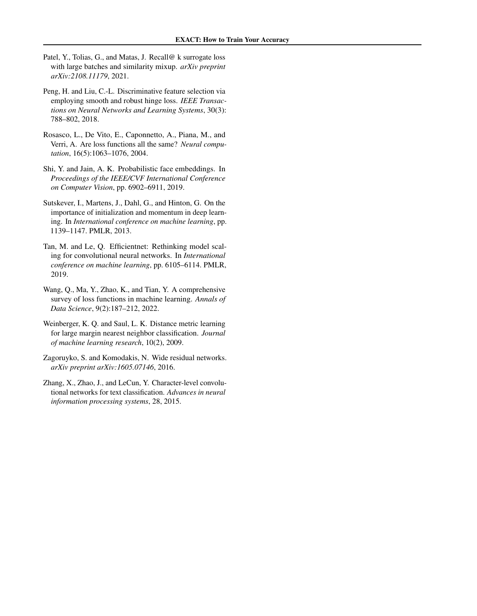- <span id="page-7-5"></span>Patel, Y., Tolias, G., and Matas, J. Recall@ k surrogate loss with large batches and similarity mixup. *arXiv preprint arXiv:2108.11179*, 2021.
- <span id="page-7-3"></span>Peng, H. and Liu, C.-L. Discriminative feature selection via employing smooth and robust hinge loss. *IEEE Transactions on Neural Networks and Learning Systems*, 30(3): 788–802, 2018.
- <span id="page-7-2"></span>Rosasco, L., De Vito, E., Caponnetto, A., Piana, M., and Verri, A. Are loss functions all the same? *Neural computation*, 16(5):1063–1076, 2004.
- <span id="page-7-6"></span>Shi, Y. and Jain, A. K. Probabilistic face embeddings. In *Proceedings of the IEEE/CVF International Conference on Computer Vision*, pp. 6902–6911, 2019.
- <span id="page-7-9"></span>Sutskever, I., Martens, J., Dahl, G., and Hinton, G. On the importance of initialization and momentum in deep learning. In *International conference on machine learning*, pp. 1139–1147. PMLR, 2013.
- <span id="page-7-8"></span>Tan, M. and Le, Q. Efficientnet: Rethinking model scaling for convolutional neural networks. In *International conference on machine learning*, pp. 6105–6114. PMLR, 2019.
- <span id="page-7-1"></span>Wang, Q., Ma, Y., Zhao, K., and Tian, Y. A comprehensive survey of loss functions in machine learning. *Annals of Data Science*, 9(2):187–212, 2022.
- <span id="page-7-4"></span>Weinberger, K. Q. and Saul, L. K. Distance metric learning for large margin nearest neighbor classification. *Journal of machine learning research*, 10(2), 2009.
- <span id="page-7-7"></span>Zagoruyko, S. and Komodakis, N. Wide residual networks. *arXiv preprint arXiv:1605.07146*, 2016.
- <span id="page-7-0"></span>Zhang, X., Zhao, J., and LeCun, Y. Character-level convolutional networks for text classification. *Advances in neural information processing systems*, 28, 2015.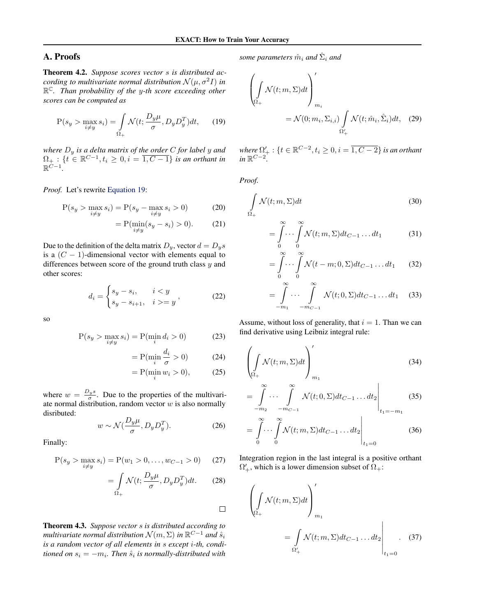# A. Proofs

Theorem 4.2. *Suppose scores vector* s *is distributed according to multivariate normal distribution*  $\mathcal{N}(\mu, \sigma^2 I)$  *in* R <sup>C</sup>*. Than probability of the* y*-th score exceeding other scores can be computed as*

<span id="page-8-0"></span>
$$
P(s_y > \max_{i \neq y} s_i) = \int_{\Omega_+} \mathcal{N}(t; \frac{D_y \mu}{\sigma}, D_y D_y^T) dt, \qquad (19)
$$

*where*  $D_y$  *is a delta matrix of the order C for label y and*  $\Omega_+$ : { $t \in \mathbb{R}^{C-1}, t_i \geq 0, i = \overline{1, C-1}$ } *is an orthant in*  $\mathbb{R}^{\dot{C}-1}$ .

*Proof.* Let's rewrite [Equation 19:](#page-8-0)

$$
P(s_y > \max_{i \neq y} s_i) = P(s_y - \max_{i \neq y} s_i > 0)
$$
 (20)

$$
=P(\min_{i\neq y}(s_y - s_i) > 0). \tag{21}
$$

Due to the definition of the delta matrix  $D_y$ , vector  $d = D_y s$ is a  $(C - 1)$ -dimensional vector with elements equal to differences between score of the ground truth class  $y$  and other scores:

$$
d_i = \begin{cases} s_y - s_i, & i < y \\ s_y - s_{i+1}, & i > = y \end{cases}, \tag{22}
$$

so

$$
P(s_y > \max_{i \neq y} s_i) = P(\min_i d_i > 0)
$$
 (23)

$$
= P(\min_{i} \frac{d_i}{\sigma} > 0)
$$
 (24)

$$
= P(\min_i w_i > 0), \qquad (25)
$$

where  $w = \frac{D_y s}{\sigma}$ . Due to the properties of the multivariate normal distribution, random vector  $w$  is also normally disributed:

$$
w \sim \mathcal{N}\left(\frac{D_y \mu}{\sigma}, D_y D_y^T\right). \tag{26}
$$

Finally:

$$
P(s_y > \max_{i \neq y} s_i) = P(w_1 > 0, \dots, w_{C-1} > 0)
$$
 (27)

$$
= \int_{\Omega_+} \mathcal{N}(t; \frac{D_y \mu}{\sigma}, D_y D_y^T) dt. \tag{28}
$$

 $\Box$ 

Theorem 4.3. *Suppose vector* s *is distributed according to* multivariate normal distribution  $\mathcal{N}(m,\Sigma)$  in  $\mathbb{R}^{C-1}$  and  $\hat{s}_i$ *is a random vector of all elements in* s *except* i*-th, conditioned on*  $s_i = -m_i$ . Then  $\hat{s}_i$  is normally-distributed with

 $some$   $parameters$   $\hat{m}_i$  and  $\hat{\Sigma}_i$  and

$$
\left(\int_{\Omega_{+}} \mathcal{N}(t; m, \Sigma) dt \right)'_{m_{i}}
$$
\n
$$
= \mathcal{N}(0; m_{i}, \Sigma_{i,i}) \int_{\Omega'_{+}} \mathcal{N}(t; \hat{m}_{i}, \hat{\Sigma}_{i}) dt, \quad (29)
$$

where  $\Omega'_{+}: \{t\in \mathbb{R}^{C-2}, t_i\geq 0, i=\overline{1, C-2}\}$  *is an orthant*  $in \mathbb{R}^{C-2}$ .

*Proof.*

$$
\int_{\Omega_+} \mathcal{N}(t; m, \Sigma) dt
$$
\n(30)

$$
=\int_{0}^{\infty}\cdots\int_{0}^{\infty}\mathcal{N}(t;m,\Sigma)dt_{C-1}\ldots dt_1\qquad(31)
$$

$$
= \int_{0}^{\infty} \cdots \int_{0}^{\infty} \mathcal{N}(t - m; 0, \Sigma) dt_{C-1} \dots dt_1 \qquad (32)
$$

$$
=\int_{-m_1}^{\infty} \cdots \int_{-m_{C-1}}^{\infty} \mathcal{N}(t; 0, \Sigma) dt_{C-1} \dots dt_1 \quad (33)
$$

Assume, without loss of generality, that  $i = 1$ . Than we can find derivative using Leibniz integral rule:

$$
\left(\int\limits_{\Omega_+} \mathcal{N}(t; m, \Sigma) dt\right)'_{m_1} \tag{34}
$$

$$
= \int_{-m_2}^{\infty} \cdots \int_{-m_{C-1}}^{\infty} \mathcal{N}(t; 0, \Sigma) dt_{C-1} \dots dt_2 \Bigg|_{t_1 = -m_1}
$$
 (35)

$$
=\int_{0}^{\infty}\cdots\int_{0}^{\infty} \mathcal{N}(t;m,\Sigma)dt_{C-1}\ldots dt_2\Bigg|_{t_1=0}
$$
 (36)

Integration region in the last integral is a positive orthant  $\Omega'_{+}$ , which is a lower dimension subset of  $\Omega_{+}$ :

<span id="page-8-1"></span>
$$
\left(\int_{\Omega_+} \mathcal{N}(t; m, \Sigma) dt \right)'_{m_1}
$$
\n
$$
= \int_{\Omega'_+} \mathcal{N}(t; m, \Sigma) dt_{C-1} \dots dt_2 \Big|_{t_1=0}.
$$
\n(37)